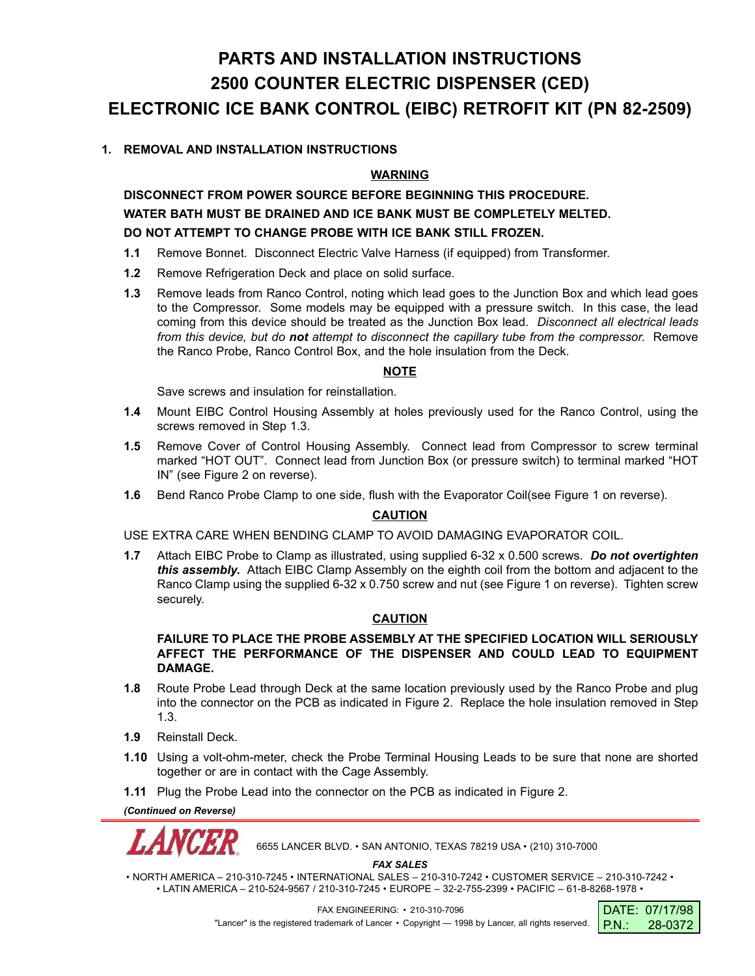# **PARTS AND INSTALLATION INSTRUCTIONS 2500 COUNTER ELECTRIC DISPENSER (CED) ELECTRONIC ICE BANK CONTROL (EIBC) RETROFIT KIT (PN 82-2509)**

# **1. REMOVAL AND INSTALLATION INSTRUCTIONS**

## **WARNING**

**DISCONNECT FROM POWER SOURCE BEFORE BEGINNING THIS PROCEDURE. WATER BATH MUST BE DRAINED AND ICE BANK MUST BE COMPLETELY MELTED. DO NOT ATTEMPT TO CHANGE PROBE WITH ICE BANK STILL FROZEN.**

- **1.1** Remove Bonnet. Disconnect Electric Valve Harness (if equipped) from Transformer.
- **1.2** Remove Refrigeration Deck and place on solid surface.
- **1.3** Remove leads from Ranco Control, noting which lead goes to the Junction Box and which lead goes to the Compressor. Some models may be equipped with a pressure switch. In this case, the lead coming from this device should be treated as the Junction Box lead. *Disconnect all electrical leads from this device, but do not attempt to disconnect the capillary tube from the compressor.* Remove the Ranco Probe, Ranco Control Box, and the hole insulation from the Deck.

#### **NOTE**

Save screws and insulation for reinstallation.

- **1.4** Mount EIBC Control Housing Assembly at holes previously used for the Ranco Control, using the screws removed in Step 1.3.
- **1.5** Remove Cover of Control Housing Assembly. Connect lead from Compressor to screw terminal marked "HOT OUT". Connect lead from Junction Box (or pressure switch) to terminal marked "HOT IN" (see Figure 2 on reverse).
- **1.6** Bend Ranco Probe Clamp to one side, flush with the Evaporator Coil(see Figure 1 on reverse).

## **CAUTION**

USE EXTRA CARE WHEN BENDING CLAMP TO AVOID DAMAGING EVAPORATOR COIL.

**1.7** Attach EIBC Probe to Clamp as illustrated, using supplied 6-32 x 0.500 screws. *Do not overtighten this assembly.* Attach EIBC Clamp Assembly on the eighth coil from the bottom and adjacent to the Ranco Clamp using the supplied 6-32 x 0.750 screw and nut (see Figure 1 on reverse). Tighten screw securely.

#### **CAUTION**

#### **FAILURE TO PLACE THE PROBE ASSEMBLY AT THE SPECIFIED LOCATION WILL SERIOUSLY AFFECT THE PERFORMANCE OF THE DISPENSER AND COULD LEAD TO EQUIPMENT DAMAGE.**

- **1.8** Route Probe Lead through Deck at the same location previously used by the Ranco Probe and plug into the connector on the PCB as indicated in Figure 2. Replace the hole insulation removed in Step 1.3.
- **1.9** Reinstall Deck.
- **1.10** Using a volt-ohm-meter, check the Probe Terminal Housing Leads to be sure that none are shorted together or are in contact with the Cage Assembly.
- **1.11** Plug the Probe Lead into the connector on the PCB as indicated in Figure 2.

*(Continued on Reverse)*



6655 LANCER BLVD. • SAN ANTONIO, TEXAS 78219 USA • (210) 310-7000

*FAX SALES*

• NORTH AMERICA – 210-310-7245 • INTERNATIONAL SALES – 210-310-7242 • CUSTOMER SERVICE – 210-310-7242 • • LATIN AMERICA – 210-524-9567 / 210-310-7245 • EUROPE – 32-2-755-2399 • PACIFIC – 61-8-8268-1978 •